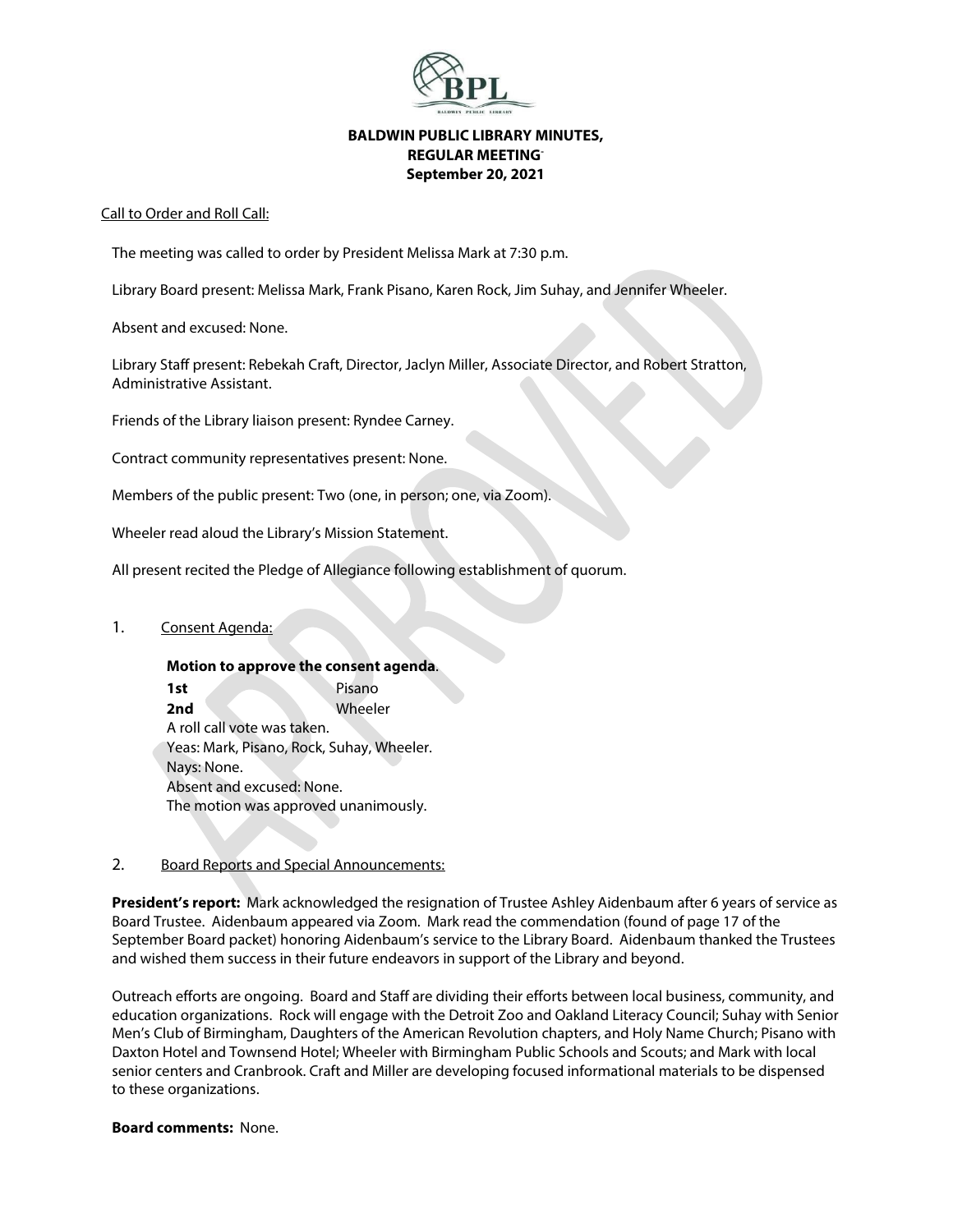

## **BALDWIN PUBLIC LIBRARY MINUTES, REGULAR MEETING-September 20, 2021**

#### Call to Order and Roll Call:

The meeting was called to order by President Melissa Mark at 7:30 p.m.

Library Board present: Melissa Mark, Frank Pisano, Karen Rock, Jim Suhay, and Jennifer Wheeler.

Absent and excused: None.

Library Staff present: Rebekah Craft, Director, Jaclyn Miller, Associate Director, and Robert Stratton, Administrative Assistant.

Friends of the Library liaison present: Ryndee Carney.

Contract community representatives present: None.

Members of the public present: Two (one, in person; one, via Zoom).

Wheeler read aloud the Library's Mission Statement.

All present recited the Pledge of Allegiance following establishment of quorum.

#### 1. Consent Agenda:

# **Motion to approve the consent agenda**.

**1st** Pisano **2nd** Wheeler A roll call vote was taken. Yeas: Mark, Pisano, Rock, Suhay, Wheeler. Nays: None. Absent and excused: None. The motion was approved unanimously.

## 2. Board Reports and Special Announcements:

**President's report:** Mark acknowledged the resignation of Trustee Ashley Aidenbaum after 6 years of service as Board Trustee. Aidenbaum appeared via Zoom. Mark read the commendation (found of page 17 of the September Board packet) honoring Aidenbaum's service to the Library Board. Aidenbaum thanked the Trustees and wished them success in their future endeavors in support of the Library and beyond.

Outreach efforts are ongoing. Board and Staff are dividing their efforts between local business, community, and education organizations. Rock will engage with the Detroit Zoo and Oakland Literacy Council; Suhay with Senior Men's Club of Birmingham, Daughters of the American Revolution chapters, and Holy Name Church; Pisano with Daxton Hotel and Townsend Hotel; Wheeler with Birmingham Public Schools and Scouts; and Mark with local senior centers and Cranbrook. Craft and Miller are developing focused informational materials to be dispensed to these organizations.

#### **Board comments:** None.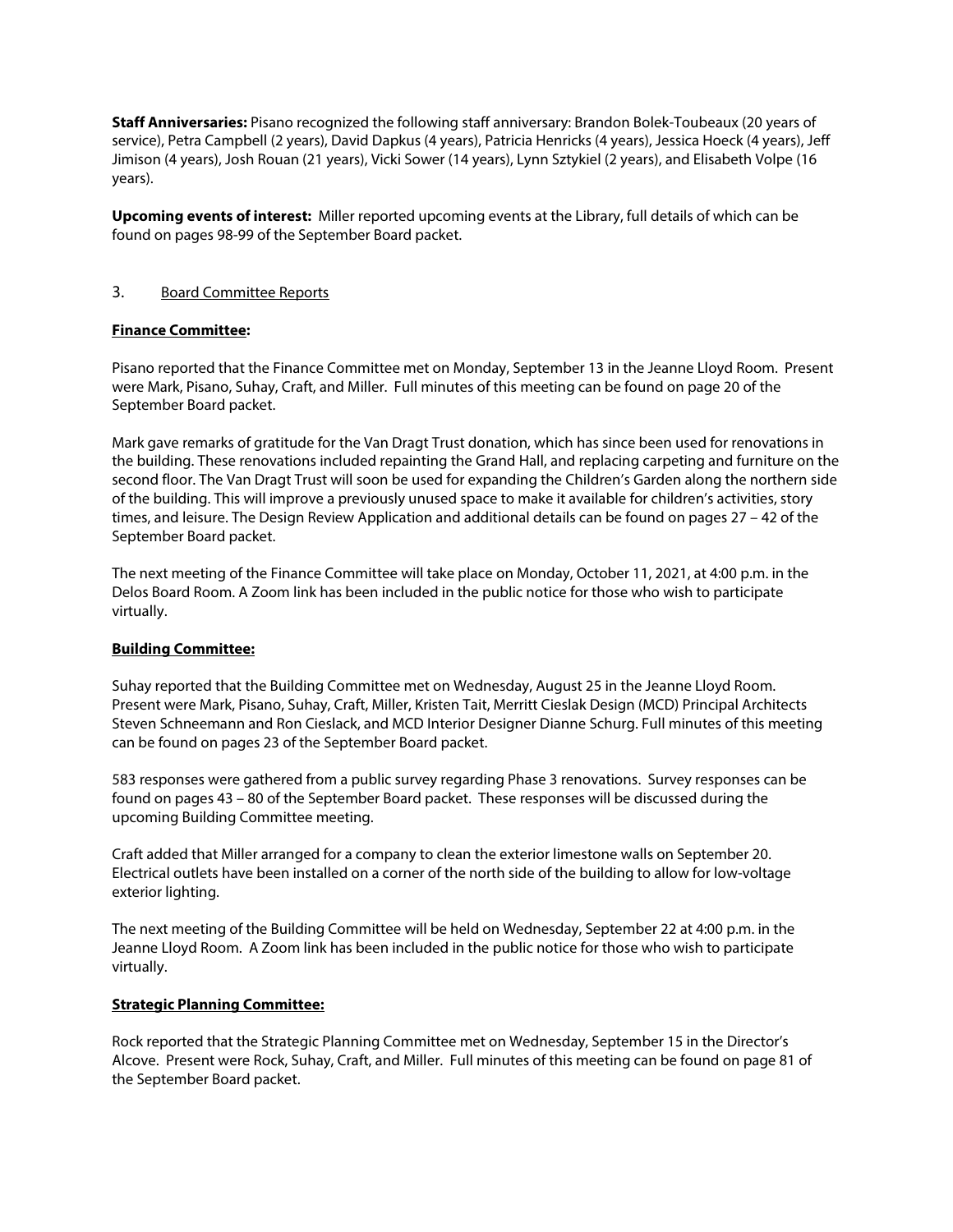**Staff Anniversaries:** Pisano recognized the following staff anniversary: Brandon Bolek-Toubeaux (20 years of service), Petra Campbell (2 years), David Dapkus (4 years), Patricia Henricks (4 years), Jessica Hoeck (4 years), Jeff Jimison (4 years), Josh Rouan (21 years), Vicki Sower (14 years), Lynn Sztykiel (2 years), and Elisabeth Volpe (16 years).

**Upcoming events of interest:** Miller reported upcoming events at the Library, full details of which can be found on pages 98-99 of the September Board packet.

## 3. Board Committee Reports

#### **Finance Committee:**

Pisano reported that the Finance Committee met on Monday, September 13 in the Jeanne Lloyd Room. Present were Mark, Pisano, Suhay, Craft, and Miller. Full minutes of this meeting can be found on page 20 of the September Board packet.

Mark gave remarks of gratitude for the Van Dragt Trust donation, which has since been used for renovations in the building. These renovations included repainting the Grand Hall, and replacing carpeting and furniture on the second floor. The Van Dragt Trust will soon be used for expanding the Children's Garden along the northern side of the building. This will improve a previously unused space to make it available for children's activities, story times, and leisure. The Design Review Application and additional details can be found on pages 27 – 42 of the September Board packet.

The next meeting of the Finance Committee will take place on Monday, October 11, 2021, at 4:00 p.m. in the Delos Board Room. A Zoom link has been included in the public notice for those who wish to participate virtually.

#### **Building Committee:**

Suhay reported that the Building Committee met on Wednesday, August 25 in the Jeanne Lloyd Room. Present were Mark, Pisano, Suhay, Craft, Miller, Kristen Tait, Merritt Cieslak Design (MCD) Principal Architects Steven Schneemann and Ron Cieslack, and MCD Interior Designer Dianne Schurg. Full minutes of this meeting can be found on pages 23 of the September Board packet.

583 responses were gathered from a public survey regarding Phase 3 renovations. Survey responses can be found on pages 43 – 80 of the September Board packet. These responses will be discussed during the upcoming Building Committee meeting.

Craft added that Miller arranged for a company to clean the exterior limestone walls on September 20. Electrical outlets have been installed on a corner of the north side of the building to allow for low-voltage exterior lighting.

The next meeting of the Building Committee will be held on Wednesday, September 22 at 4:00 p.m. in the Jeanne Lloyd Room. A Zoom link has been included in the public notice for those who wish to participate virtually.

#### **Strategic Planning Committee:**

Rock reported that the Strategic Planning Committee met on Wednesday, September 15 in the Director's Alcove. Present were Rock, Suhay, Craft, and Miller. Full minutes of this meeting can be found on page 81 of the September Board packet.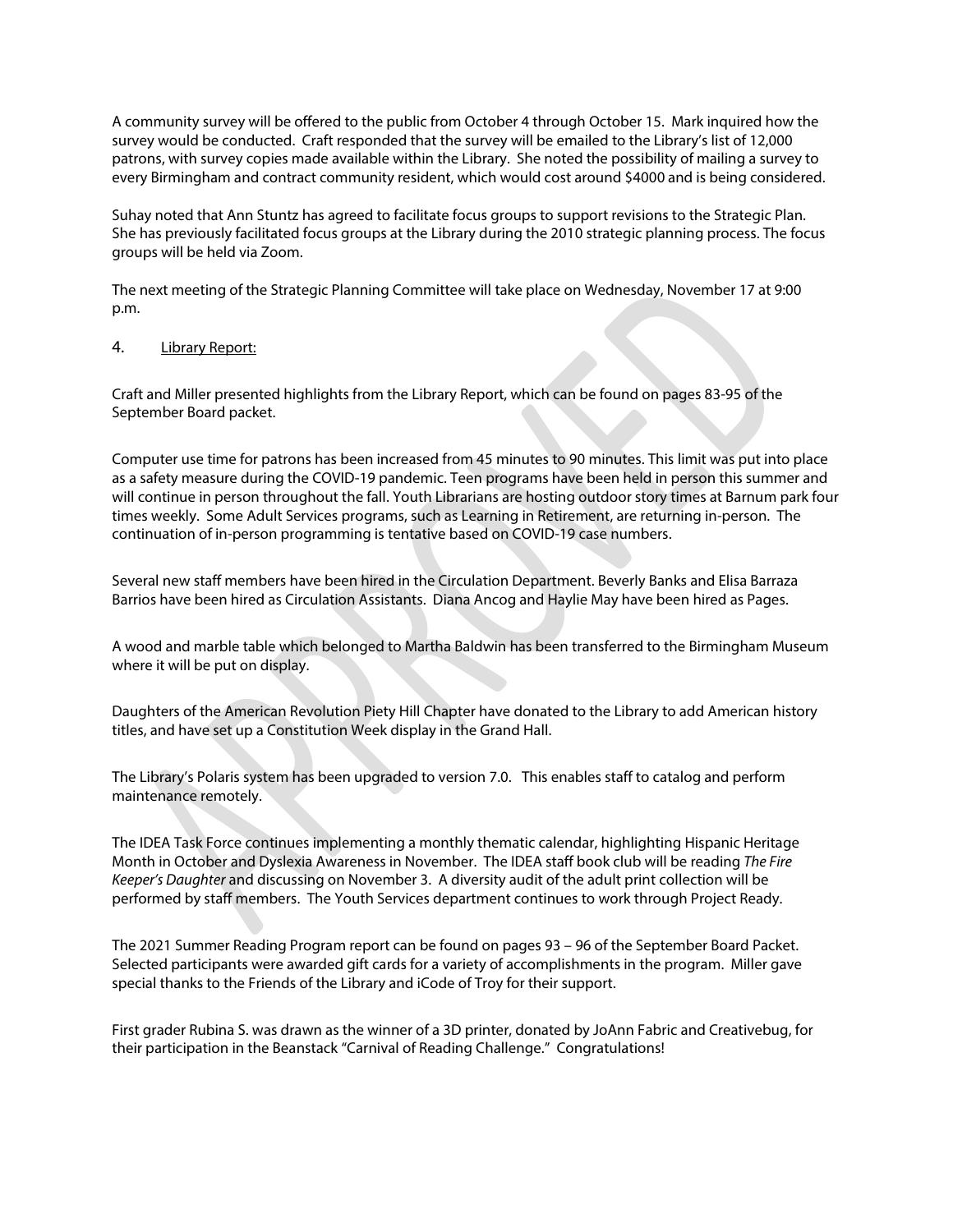A community survey will be offered to the public from October 4 through October 15. Mark inquired how the survey would be conducted. Craft responded that the survey will be emailed to the Library's list of 12,000 patrons, with survey copies made available within the Library. She noted the possibility of mailing a survey to every Birmingham and contract community resident, which would cost around \$4000 and is being considered.

Suhay noted that Ann Stuntz has agreed to facilitate focus groups to support revisions to the Strategic Plan. She has previously facilitated focus groups at the Library during the 2010 strategic planning process. The focus groups will be held via Zoom.

The next meeting of the Strategic Planning Committee will take place on Wednesday, November 17 at 9:00 p.m.

## 4. Library Report:

Craft and Miller presented highlights from the Library Report, which can be found on pages 83-95 of the September Board packet.

Computer use time for patrons has been increased from 45 minutes to 90 minutes. This limit was put into place as a safety measure during the COVID-19 pandemic. Teen programs have been held in person this summer and will continue in person throughout the fall. Youth Librarians are hosting outdoor story times at Barnum park four times weekly. Some Adult Services programs, such as Learning in Retirement, are returning in-person. The continuation of in-person programming is tentative based on COVID-19 case numbers.

Several new staff members have been hired in the Circulation Department. Beverly Banks and Elisa Barraza Barrios have been hired as Circulation Assistants. Diana Ancog and Haylie May have been hired as Pages.

A wood and marble table which belonged to Martha Baldwin has been transferred to the Birmingham Museum where it will be put on display.

Daughters of the American Revolution Piety Hill Chapter have donated to the Library to add American history titles, and have set up a Constitution Week display in the Grand Hall.

The Library's Polaris system has been upgraded to version 7.0. This enables staff to catalog and perform maintenance remotely.

The IDEA Task Force continues implementing a monthly thematic calendar, highlighting Hispanic Heritage Month in October and Dyslexia Awareness in November. The IDEA staff book club will be reading *The Fire Keeper's Daughter* and discussing on November 3. A diversity audit of the adult print collection will be performed by staff members. The Youth Services department continues to work through Project Ready.

The 2021 Summer Reading Program report can be found on pages 93 – 96 of the September Board Packet. Selected participants were awarded gift cards for a variety of accomplishments in the program. Miller gave special thanks to the Friends of the Library and iCode of Troy for their support.

First grader Rubina S. was drawn as the winner of a 3D printer, donated by JoAnn Fabric and Creativebug, for their participation in the Beanstack "Carnival of Reading Challenge." Congratulations!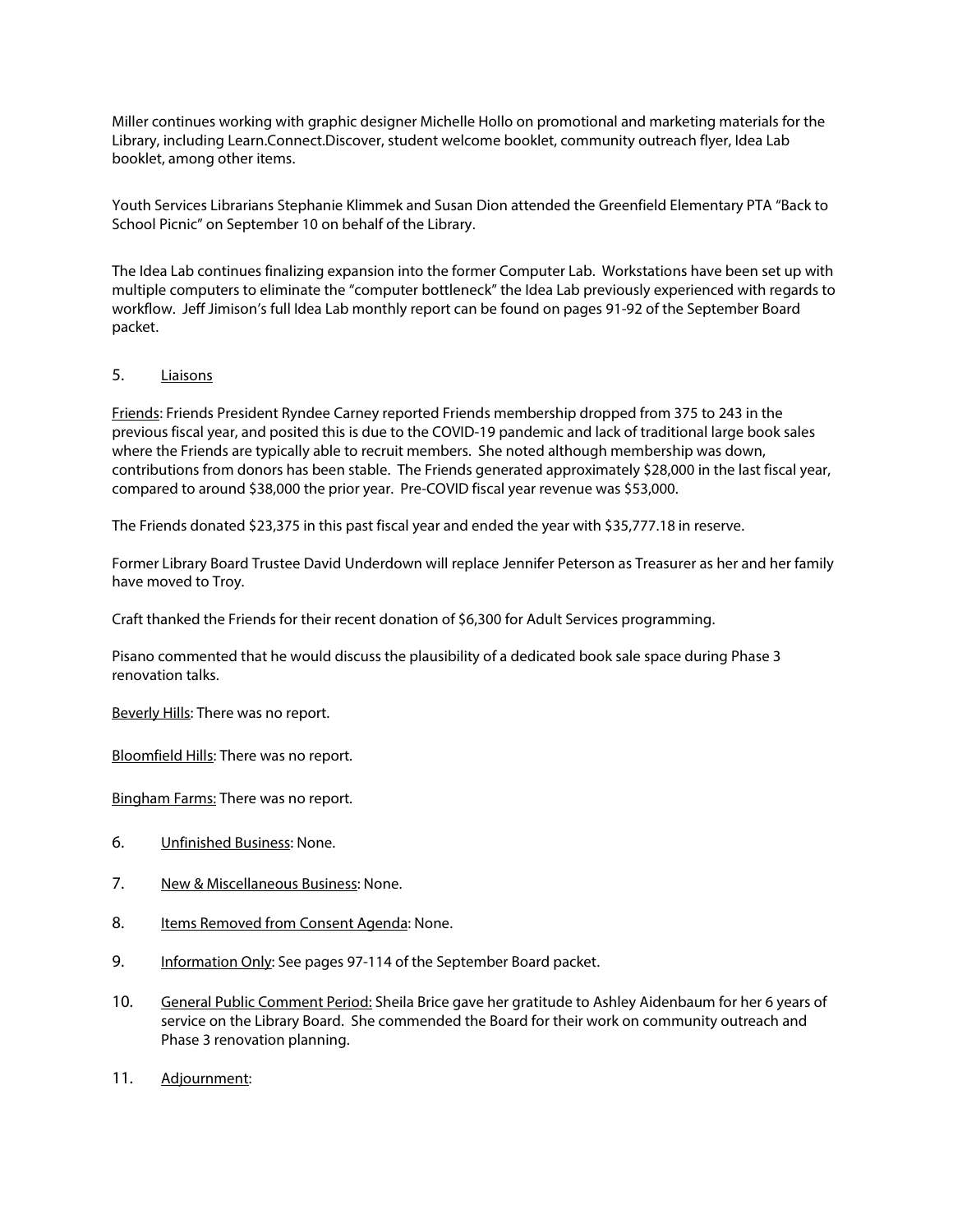Miller continues working with graphic designer Michelle Hollo on promotional and marketing materials for the Library, including Learn.Connect.Discover, student welcome booklet, community outreach flyer, Idea Lab booklet, among other items.

Youth Services Librarians Stephanie Klimmek and Susan Dion attended the Greenfield Elementary PTA "Back to School Picnic" on September 10 on behalf of the Library.

The Idea Lab continues finalizing expansion into the former Computer Lab. Workstations have been set up with multiple computers to eliminate the "computer bottleneck" the Idea Lab previously experienced with regards to workflow. Jeff Jimison's full Idea Lab monthly report can be found on pages 91-92 of the September Board packet.

## 5. Liaisons

Friends: Friends President Ryndee Carney reported Friends membership dropped from 375 to 243 in the previous fiscal year, and posited this is due to the COVID-19 pandemic and lack of traditional large book sales where the Friends are typically able to recruit members. She noted although membership was down, contributions from donors has been stable. The Friends generated approximately \$28,000 in the last fiscal year, compared to around \$38,000 the prior year. Pre-COVID fiscal year revenue was \$53,000.

The Friends donated \$23,375 in this past fiscal year and ended the year with \$35,777.18 in reserve.

Former Library Board Trustee David Underdown will replace Jennifer Peterson as Treasurer as her and her family have moved to Troy.

Craft thanked the Friends for their recent donation of \$6,300 for Adult Services programming.

Pisano commented that he would discuss the plausibility of a dedicated book sale space during Phase 3 renovation talks.

Beverly Hills: There was no report.

Bloomfield Hills: There was no report.

Bingham Farms: There was no report.

- 6. Unfinished Business: None.
- 7. New & Miscellaneous Business: None.
- 8. Items Removed from Consent Agenda: None.
- 9. Information Only: See pages 97-114 of the September Board packet.
- 10. General Public Comment Period: Sheila Brice gave her gratitude to Ashley Aidenbaum for her 6 years of service on the Library Board. She commended the Board for their work on community outreach and Phase 3 renovation planning.
- 11. Adjournment: